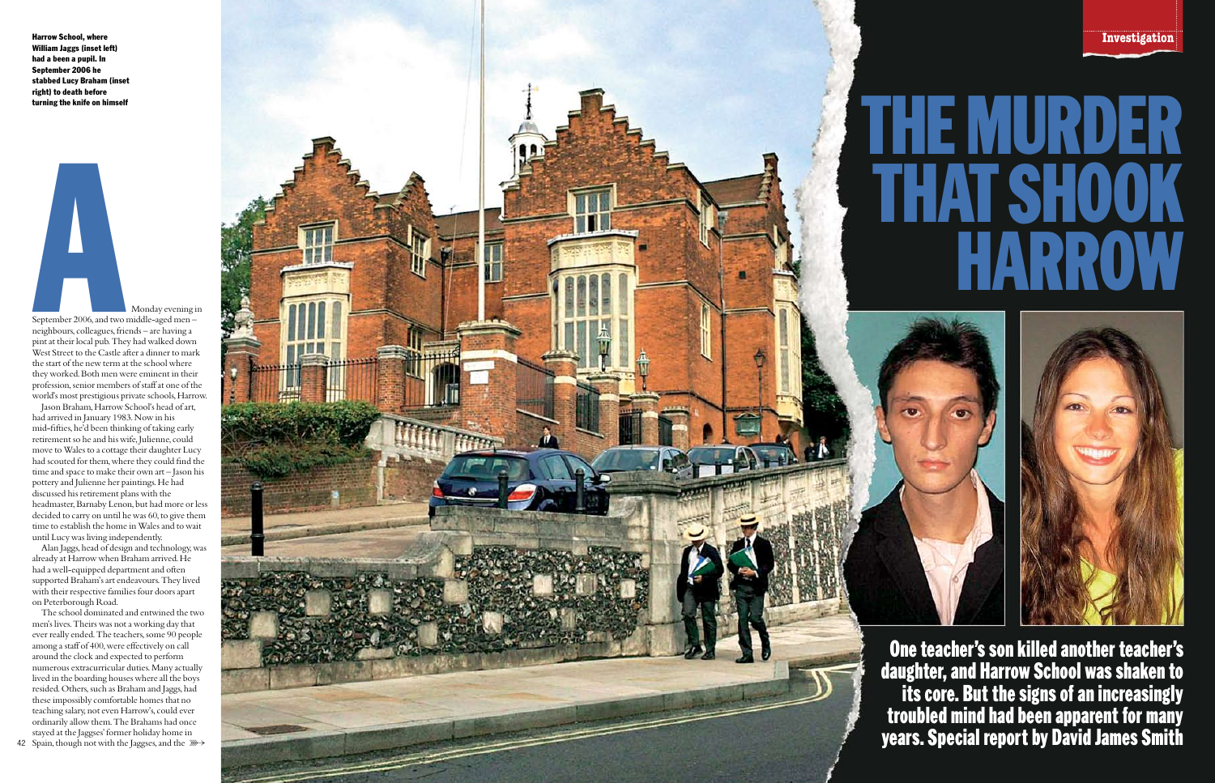**Investigation**

Jason Braham, Harrow School's head of art, had arrived in January 1983. Now in his mid-fi fties, he'd been thinking of taking early retirement so he and his wife, Julienne, could move to Wales to a cottage their daughter Lucy had scouted for them, where they could find the time and space to make their own art – Jason his pottery and Julienne her paintings. He had discussed his retirement plans with the headmaster, Barnaby Lenon, but had more or less decided to carry on until he was 60, to give them time to establish the home in Wales and to wait until Lucy was living independently.

Monday evening in September 2006, and two middle-aged men – neighbours, colleagues, friends – are having a pint at their local pub. They had walked down West Street to the Castle after a dinner to mark the start of the new term at the school where they worked. Both men were eminent in their profession, senior members of staff at one of the world's most prestigious private schools, Harrow. **A**

Alan Jaggs, head of design and technology, was already at Harrow when Braham arrived. He had a well-equipped department and often supported Braham's art endeavours. They lived with their respective families four doors apart on Peterborough Road.

The school dominated and entwined the two men's lives. Theirs was not a working day that ever really ended. The teachers, some 90 people among a staff of 400, were effectively on call around the clock and expected to perform numerous extracurricular duties. Many actually lived in the boarding houses where all the boys resided. Others, such as Braham and Jaggs, had these impossibly comfortable homes that no teaching salary, not even Harrow's, could ever ordinarily allow them. The Brahams had once stayed at the Jaggses' former holiday home in



Harrow School, where William Jaggs (inset left) had a been a pupil. In September 2006 he stabbed Lucy Braham (inset right) to death before turning the knife on himself

> **One teacher's son killed another teacher's daughter, and Harrow School was shaken to its core. But the signs of an increasingly troubled mind had been apparent for many years. Special report by David James Smith**

# **THE MURDER TSHOOK HARROW**



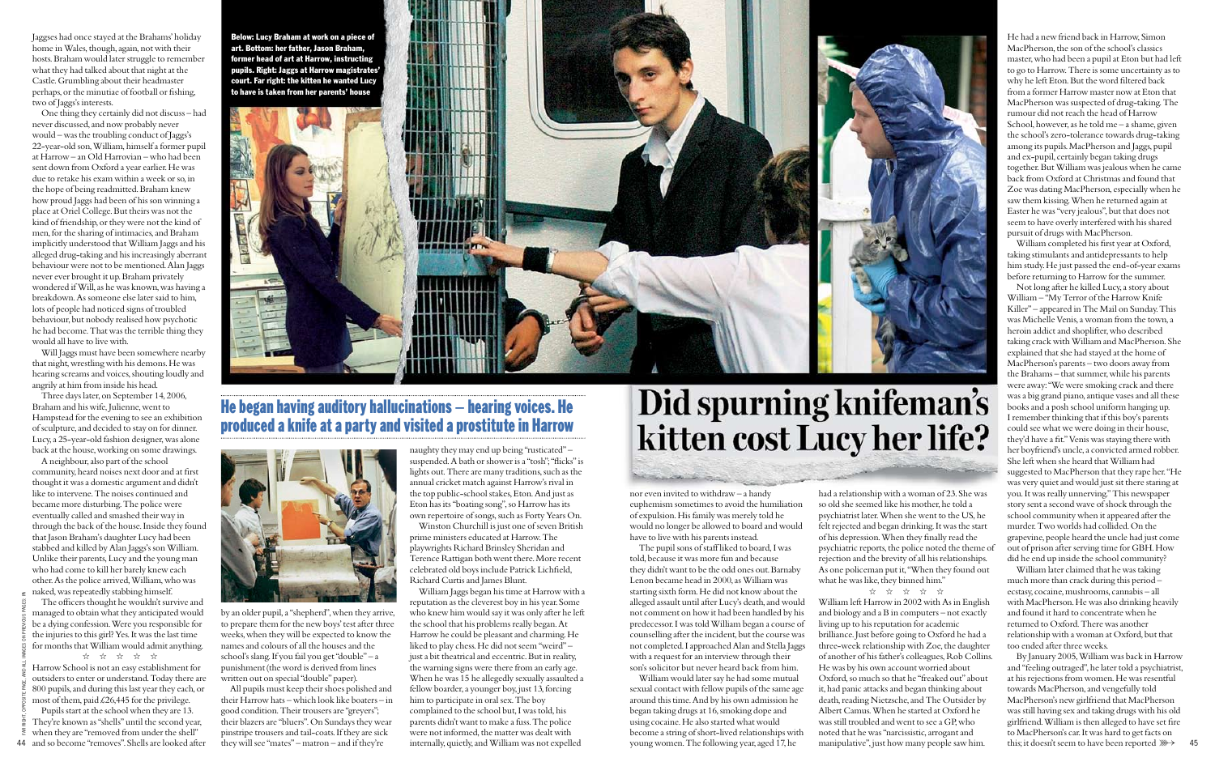Jaggses had once stayed at the Brahams' holiday home in Wales, though, again, not with their hosts. Braham would later struggle to remember what they had talked about that night at the Castle. Grumbling about their headmaster perhaps, or the minutiae of football or fishing, two of Jaggs's interests.

One thing they certainly did not discuss – had never discussed, and now probably never would – was the troubling conduct of Jaggs's 22-year-old son, William, himself a former pupil at Harrow – an Old Harrovian – who had been sent down from Oxford a year earlier. He was due to retake his exam within a week or so, in the hope of being readmitted. Braham knew how proud Jaggs had been of his son winning a place at Oriel College. But theirs was not the kind of friendship, or they were not the kind of men, for the sharing of intimacies, and Braham implicitly understood that William Jaggs and his alleged drug-taking and his increasingly aberrant behaviour were not to be mentioned. Alan Jaggs never ever brought it up. Braham privately wondered if Will, as he was known, was having a breakdown. As someone else later said to him, lots of people had noticed signs of troubled behaviour, but nobody realised how psychotic he had become. That was the terrible thing they would all have to live with.

The officers thought he wouldn't survive and managed to obtain what they anticipated would be a dying confession. Were you responsible for the injuries to this girl? Yes. It was the last time for months that William would admit anything.

 $\begin{array}{ccccccccc}\n\text{\&} & & \text{\&} & & \text{\&} & & \text{\&} & \text{\&} & \text{\&} & \text{\&} & \text{\&} & \text{\&} & \text{\&} & \text{\&} & \text{\&} & \text{\&} & \text{\&} & \text{\&} & \text{\&} & \text{\&} & \text{\&} & \text{\&} & \text{\&} & \text{\&} & \text{\&} & \text{\&} & \text{\&} & \text{\&} & \text{\&} & \text{\&} & \text{\&} & \text{\&} & \text{\&} & \text{\&} & \text{\&} & \text{\&} & \text{\&} & \text{\$ 

Will Jaggs must have been somewhere nearby that night, wrestling with his demons. He was hearing screams and voices, shouting loudly and angrily at him from inside his head.

44 and so become "removes". Shells are looked after Pupils start at the school when they are 13. They're known as "shells" until the second year, when they are "removed from under the shell"

Three days later, on September 14, 2006, Braham and his wife, Julienne, went to Hampstead for the evening to see an exhibition of sculpture, and decided to stay on for dinner. Lucy, a 25-year-old fashion designer, was alone back at the house, working on some drawings.

A neighbour, also part of the school community, heard noises next door and at first thought it was a domestic argument and didn't like to intervene. The noises continued and became more disturbing. The police were eventually called and smashed their way in through the back of the house. Inside they found that Jason Braham's daughter Lucy had been stabbed and killed by Alan Jaggs's son William. Unlike their parents, Lucy and the young man who had come to kill her barely knew each other. As the police arrived, William, who was naked, was repeatedly stabbing himself.

Harrow School is not an easy establishment for outsiders to enter or understand. Today there are 800 pupils, and during this last year they each, or most of them, paid £26,445 for the privilege.

had a relationship with a woman of 23. She was so old she seemed like his mother, he told a psychiatrist later. When she went to the US, he felt rejected and began drinking. It was the start of his depression. When they finally read the psychiatric reports, the police noted the theme of rejection and the brevity of all his relationships. As one policeman put it, "When they found out what he was like, they binned him." ☆ ☆ ☆ ☆ ☆

by an older pupil, a "shepherd", when they arrive, to prepare them for the new boys' test after three weeks, when they will be expected to know the names and colours of all the houses and the school's slang. If you fail you get "double" – a punishment (the word is derived from lines written out on special "double" paper).

All pupils must keep their shoes polished and their Harrow hats – which look like boaters – in good condition. Their trousers are "greyers"; their blazers are "bluers". On Sundays they wear pinstripe trousers and tail-coats. If they are sick they will see "mates" – matron – and if they're

naughty they may end up being "rusticated" – suspended. A bath or shower is a "tosh"; "flicks" is lights out. There are many traditions, such as the annual cricket match against Harrow's rival in the top public-school stakes, Eton. And just as Eton has its "boating song", so Harrow has its own repertoire of songs, such as Forty Years On.

Winston Churchill is just one of seven British prime ministers educated at Harrow. The playwrights Richard Brinsley Sheridan and Terence Rattigan both went there. More recent celebrated old boys include Patrick Lichfield, Richard Curtis and James Blunt.

William completed his first year at Oxford, taking stimulants and antidepressants to help him study. He just passed the end-of-year exams before returning to Harrow for the summer.

William Jaggs began his time at Harrow with a reputation as the cleverest boy in his year. Some who knew him would say it was only after he left the school that his problems really began. At Harrow he could be pleasant and charming. He liked to play chess. He did not seem "weird" – just a bit theatrical and eccentric. But in reality, the warning signs were there from an early age. When he was 15 he allegedly sexually assaulted a fellow boarder, a younger boy, just 13, forcing him to participate in oral sex. The boy complained to the school but, I was told, his parents didn't want to make a fuss. The police were not informed, the matter was dealt with internally, quietly, and William was not expelled

## Did spurning knifeman's kitten cost Lucy her life?

nor even invited to withdraw – a handy euphemism sometimes to avoid the humiliation of expulsion. His family was merely told he would no longer be allowed to board and would have to live with his parents instead.

> this; it doesn't seem to have been reported  $\ggg$  45 By January 2005, William was back in Harrow and "feeling outraged", he later told a psychiatrist, at his rejections from women. He was resentful towards MacPherson, and vengefully told MacPherson's new girlfriend that MacPherson was still having sex and taking drugs with his old girlfriend. William is then alleged to have set fire to MacPherson's car. It was hard to get facts on

The pupil sons of staff liked to board, I was told, because it was more fun and because they didn't want to be the odd ones out. Barnaby Lenon became head in 2000, as William was starting sixth form. He did not know about the alleged assault until after Lucy's death, and would not comment on how it had been handled by his predecessor. I was told William began a course of counselling after the incident, but the course was not completed. I approached Alan and Stella Jaggs with a request for an interview through their son's solicitor but never heard back from him.

William would later say he had some mutual sexual contact with fellow pupils of the same age around this time. And by his own admission he began taking drugs at 16, smoking dope and using cocaine. He also started what would become a string of short-lived relationships with young women. The following year, aged 17, he

William left Harrow in 2002 with As in English and biology and a B in computers – not exactly living up to his reputation for academic brilliance. Just before going to Oxford he had a three-week relationship with Zoe, the daughter of another of his father's colleagues, Rob Collins. He was by his own account worried about Oxford, so much so that he "freaked out" about it, had panic attacks and began thinking about death, reading Nietzsche, and The Outsider by Albert Camus. When he started at Oxford he was still troubled and went to see a GP, who noted that he was "narcissistic, arrogant and manipulative", just how many people saw him.



#### **He began having auditory hallucinations — hearing voices. He produced a knife at a party and visited a prostitute in Harrow**



He had a new friend back in Harrow, Simon MacPherson, the son of the school's classics master, who had been a pupil at Eton but had left to go to Harrow. There is some uncertainty as to why he left Eton. But the word filtered back from a former Harrow master now at Eton that MacPherson was suspected of drug-taking. The rumour did not reach the head of Harrow School, however, as he told me – a shame, given the school's zero-tolerance towards drug-taking among its pupils. MacPherson and Jaggs, pupil and ex-pupil, certainly began taking drugs together. But William was jealous when he came back from Oxford at Christmas and found that Zoe was dating MacPherson, especially when he saw them kissing. When he returned again at Easter he was "very jealous", but that does not seem to have overly interfered with his shared pursuit of drugs with MacPherson.

Not long after he killed Lucy, a story about William – "My Terror of the Harrow Knife Killer" – appeared in The Mail on Sunday. This was Michelle Venis, a woman from the town, a heroin addict and shoplifter, who described taking crack with William and MacPherson. She explained that she had stayed at the home of MacPherson's parents – two doors away from the Brahams – that summer, while his parents were away: "We were smoking crack and there was a big grand piano, antique vases and all these books and a posh school uniform hanging up. I remember thinking that if this boy's parents could see what we were doing in their house, they'd have a fit." Venis was staying there with her boyfriend's uncle, a convicted armed robber. She left when she heard that William had suggested to MacPherson that they rape her. "He was very quiet and would just sit there staring at you. It was really unnerving." This newspaper story sent a second wave of shock through the school community when it appeared after the murder. Two worlds had collided. On the grapevine, people heard the uncle had just come out of prison after serving time for GBH. How did he end up inside the school community?

William later claimed that he was taking much more than crack during this period – ecstasy, cocaine, mushrooms, cannabis – all with MacPherson. He was also drinking heavily and found it hard to concentrate when he returned to Oxford. There was another relationship with a woman at Oxford, but that too ended after three weeks.

Below: Lucy Braham at work on a piece of art. Bottom: her father, Jason Braham, former head of art at Harrow, instructing pupils. Right: Jaggs at Harrow magistrates' court. Far right: the kitten he wanted Lucy to have is taken from her parents' house